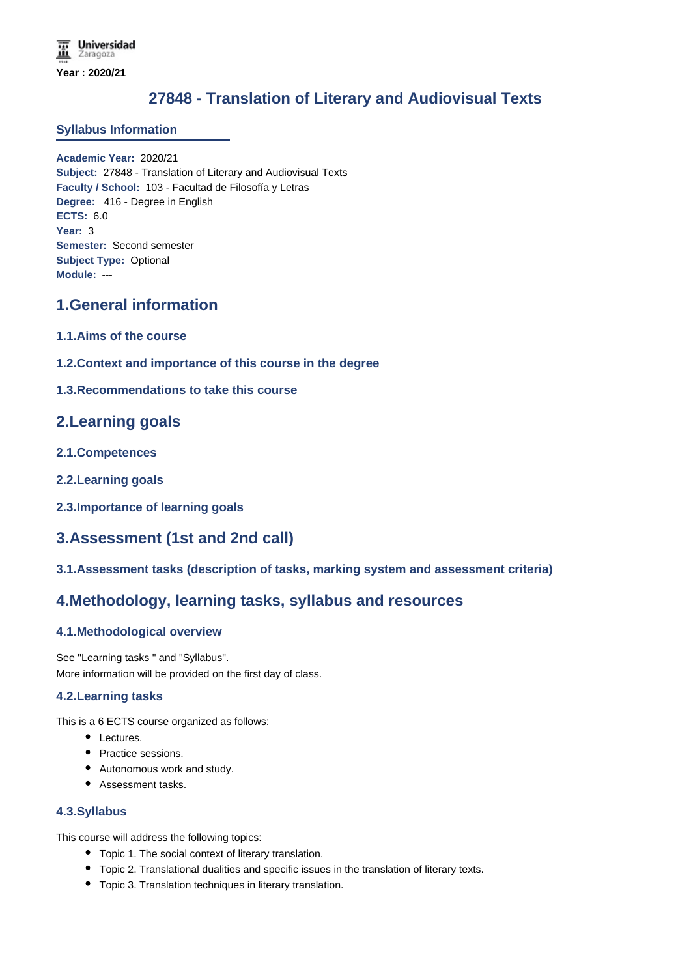# **27848 - Translation of Literary and Audiovisual Texts**

#### **Syllabus Information**

**Academic Year:** 2020/21 **Subject:** 27848 - Translation of Literary and Audiovisual Texts **Faculty / School:** 103 - Facultad de Filosofía y Letras **Degree:** 416 - Degree in English **ECTS:** 6.0 **Year:** 3 **Semester:** Second semester **Subject Type:** Optional **Module:** ---

# **1.General information**

- **1.1.Aims of the course**
- **1.2.Context and importance of this course in the degree**
- **1.3.Recommendations to take this course**

## **2.Learning goals**

- **2.1.Competences**
- **2.2.Learning goals**
- **2.3.Importance of learning goals**

# **3.Assessment (1st and 2nd call)**

**3.1.Assessment tasks (description of tasks, marking system and assessment criteria)**

## **4.Methodology, learning tasks, syllabus and resources**

### **4.1.Methodological overview**

See "Learning tasks " and "Syllabus". More information will be provided on the first day of class.

#### **4.2.Learning tasks**

This is a 6 ECTS course organized as follows:

- Lectures.
- Practice sessions.
- Autonomous work and study.
- Assessment tasks.

#### **4.3.Syllabus**

This course will address the following topics:

- Topic 1. The social context of literary translation.
- Topic 2. Translational dualities and specific issues in the translation of literary texts.
- Topic 3. Translation techniques in literary translation.